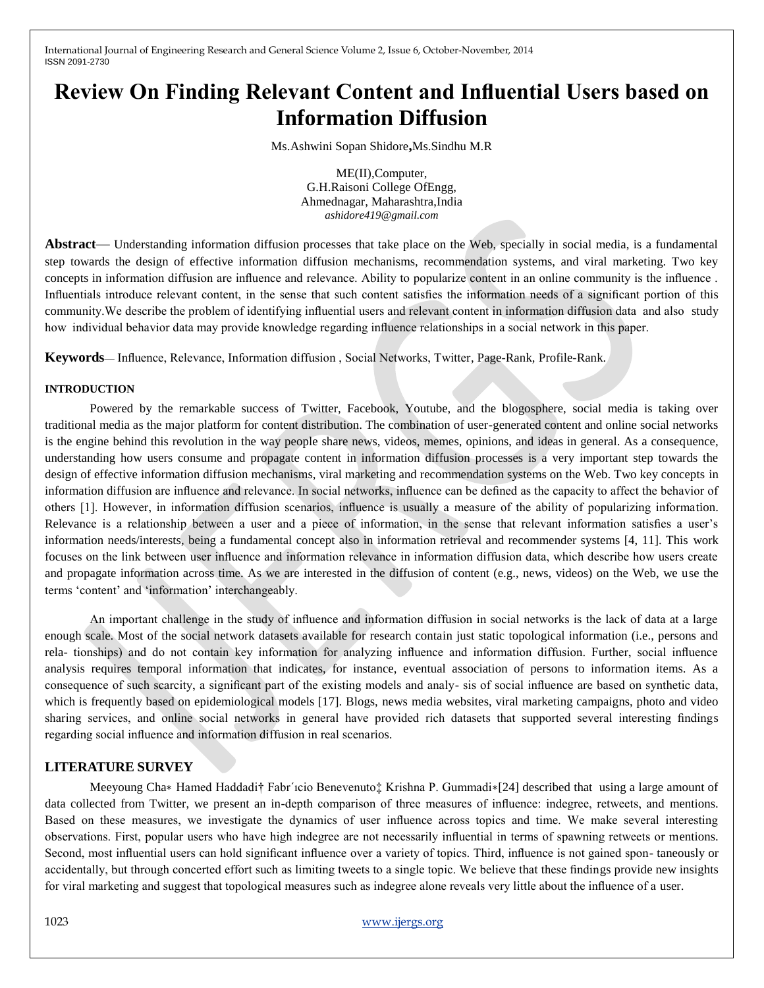International Journal of Engineering Research and General Science Volume 2, Issue 6, October-November, 2014 ISSN 2091-2730

# **Review On Finding Relevant Content and Influential Users based on Information Diffusion**

Ms.Ashwini Sopan Shidore**,**Ms.Sindhu M.R

ME(II),Computer, G.H.Raisoni College OfEngg, Ahmednagar, Maharashtra,India *ashidore419@gmail.com*

**Abstract**— Understanding information diffusion processes that take place on the Web, specially in social media, is a fundamental step towards the design of effective information diffusion mechanisms, recommendation systems, and viral marketing. Two key concepts in information diffusion are influence and relevance. Ability to popularize content in an online community is the influence . Influentials introduce relevant content, in the sense that such content satisfies the information needs of a significant portion of this community.We describe the problem of identifying influential users and relevant content in information diffusion data and also study how individual behavior data may provide knowledge regarding influence relationships in a social network in this paper.

**Keywords**— Influence, Relevance, Information diffusion , Social Networks, Twitter, Page-Rank, Profile-Rank.

#### **INTRODUCTION**

Powered by the remarkable success of Twitter, Facebook, Youtube, and the blogosphere, social media is taking over traditional media as the major platform for content distribution. The combination of user-generated content and online social networks is the engine behind this revolution in the way people share news, videos, memes, opinions, and ideas in general. As a consequence, understanding how users consume and propagate content in information diffusion processes is a very important step towards the design of effective information diffusion mechanisms, viral marketing and recommendation systems on the Web. Two key concepts in information diffusion are influence and relevance. In social networks, influence can be defined as the capacity to affect the behavior of others [1]. However, in information diffusion scenarios, influence is usually a measure of the ability of popularizing information. Relevance is a relationship between a user and a piece of information, in the sense that relevant information satisfies a user's information needs/interests, being a fundamental concept also in information retrieval and recommender systems [4, 11]. This work focuses on the link between user influence and information relevance in information diffusion data, which describe how users create and propagate information across time. As we are interested in the diffusion of content (e.g., news, videos) on the Web, we use the terms 'content' and 'information' interchangeably.

An important challenge in the study of influence and information diffusion in social networks is the lack of data at a large enough scale. Most of the social network datasets available for research contain just static topological information (i.e., persons and rela- tionships) and do not contain key information for analyzing influence and information diffusion. Further, social influence analysis requires temporal information that indicates, for instance, eventual association of persons to information items. As a consequence of such scarcity, a significant part of the existing models and analy- sis of social influence are based on synthetic data, which is frequently based on epidemiological models [17]. Blogs, news media websites, viral marketing campaigns, photo and video sharing services, and online social networks in general have provided rich datasets that supported several interesting findings regarding social influence and information diffusion in real scenarios.

#### **LITERATURE SURVEY**

Meeyoung Cha∗ Hamed Haddadi† Fabr´icio Benevenuto‡ Krishna P. Gummadi∗[24] described that using a large amount of data collected from Twitter, we present an in-depth comparison of three measures of influence: indegree, retweets, and mentions. Based on these measures, we investigate the dynamics of user influence across topics and time. We make several interesting observations. First, popular users who have high indegree are not necessarily influential in terms of spawning retweets or mentions. Second, most influential users can hold significant influence over a variety of topics. Third, influence is not gained spon- taneously or accidentally, but through concerted effort such as limiting tweets to a single topic. We believe that these findings provide new insights for viral marketing and suggest that topological measures such as indegree alone reveals very little about the influence of a user.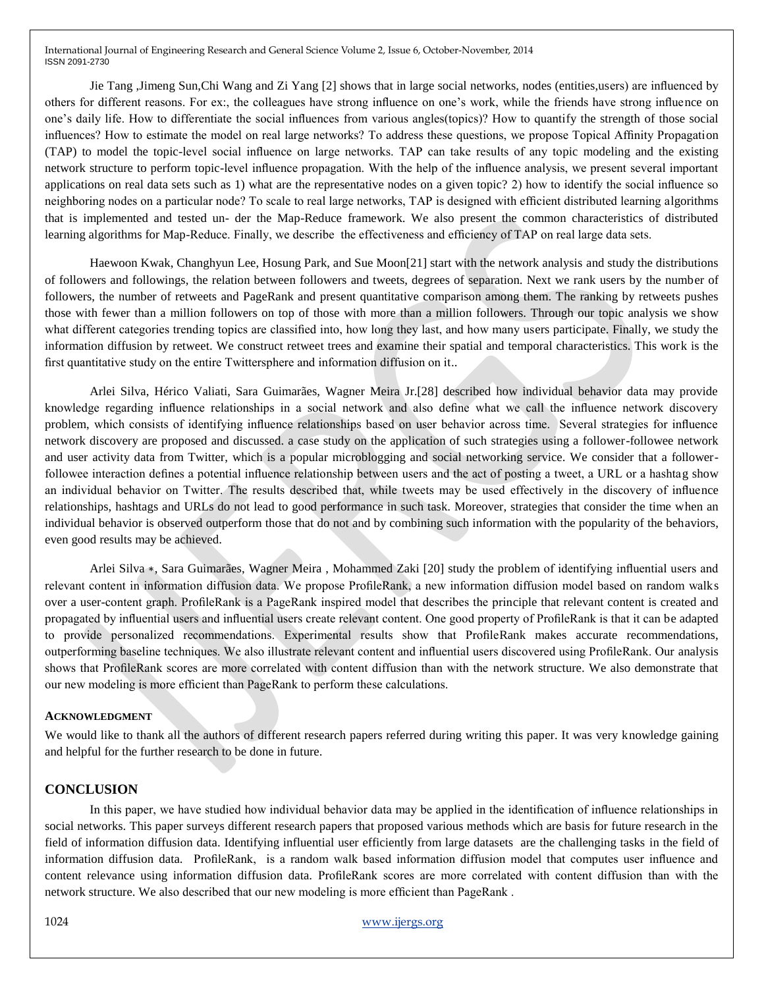International Journal of Engineering Research and General Science Volume 2, Issue 6, October-November, 2014 ISSN 2091-2730

Jie Tang ,Jimeng Sun,Chi Wang and Zi Yang [2] shows that in large social networks, nodes (entities,users) are influenced by others for different reasons. For ex:, the colleagues have strong influence on one's work, while the friends have strong influence on one's daily life. How to differentiate the social influences from various angles(topics)? How to quantify the strength of those social influences? How to estimate the model on real large networks? To address these questions, we propose Topical Affinity Propagation (TAP) to model the topic-level social influence on large networks. TAP can take results of any topic modeling and the existing network structure to perform topic-level influence propagation. With the help of the influence analysis, we present several important applications on real data sets such as 1) what are the representative nodes on a given topic? 2) how to identify the social influence so neighboring nodes on a particular node? To scale to real large networks, TAP is designed with efficient distributed learning algorithms that is implemented and tested un- der the Map-Reduce framework. We also present the common characteristics of distributed learning algorithms for Map-Reduce. Finally, we describe the effectiveness and efficiency of TAP on real large data sets.

Haewoon Kwak, Changhyun Lee, Hosung Park, and Sue Moon[21] start with the network analysis and study the distributions of followers and followings, the relation between followers and tweets, degrees of separation. Next we rank users by the number of followers, the number of retweets and PageRank and present quantitative comparison among them. The ranking by retweets pushes those with fewer than a million followers on top of those with more than a million followers. Through our topic analysis we show what different categories trending topics are classified into, how long they last, and how many users participate. Finally, we study the information diffusion by retweet. We construct retweet trees and examine their spatial and temporal characteristics. This work is the first quantitative study on the entire Twittersphere and information diffusion on it..

Arlei Silva, Hérico Valiati, Sara Guimarães, Wagner Meira Jr.[28] described how individual behavior data may provide knowledge regarding influence relationships in a social network and also define what we call the influence network discovery problem, which consists of identifying influence relationships based on user behavior across time. Several strategies for influence network discovery are proposed and discussed. a case study on the application of such strategies using a follower-followee network and user activity data from Twitter, which is a popular microblogging and social networking service. We consider that a followerfollowee interaction defines a potential influence relationship between users and the act of posting a tweet, a URL or a hashtag show an individual behavior on Twitter. The results described that, while tweets may be used effectively in the discovery of influence relationships, hashtags and URLs do not lead to good performance in such task. Moreover, strategies that consider the time when an individual behavior is observed outperform those that do not and by combining such information with the popularity of the behaviors, even good results may be achieved.

Arlei Silva ∗, Sara Guimarães, Wagner Meira , Mohammed Zaki [20] study the problem of identifying influential users and relevant content in information diffusion data. We propose ProfileRank, a new information diffusion model based on random walks over a user-content graph. ProfileRank is a PageRank inspired model that describes the principle that relevant content is created and propagated by influential users and influential users create relevant content. One good property of ProfileRank is that it can be adapted to provide personalized recommendations. Experimental results show that ProfileRank makes accurate recommendations, outperforming baseline techniques. We also illustrate relevant content and influential users discovered using ProfileRank. Our analysis shows that ProfileRank scores are more correlated with content diffusion than with the network structure. We also demonstrate that our new modeling is more efficient than PageRank to perform these calculations.

#### **ACKNOWLEDGMENT**

We would like to thank all the authors of different research papers referred during writing this paper. It was very knowledge gaining and helpful for the further research to be done in future.

### **CONCLUSION**

In this paper, we have studied how individual behavior data may be applied in the identification of influence relationships in social networks. This paper surveys different research papers that proposed various methods which are basis for future research in the field of information diffusion data. Identifying influential user efficiently from large datasets are the challenging tasks in the field of information diffusion data. ProfileRank, is a random walk based information diffusion model that computes user influence and content relevance using information diffusion data. ProfileRank scores are more correlated with content diffusion than with the network structure. We also described that our new modeling is more efficient than PageRank .